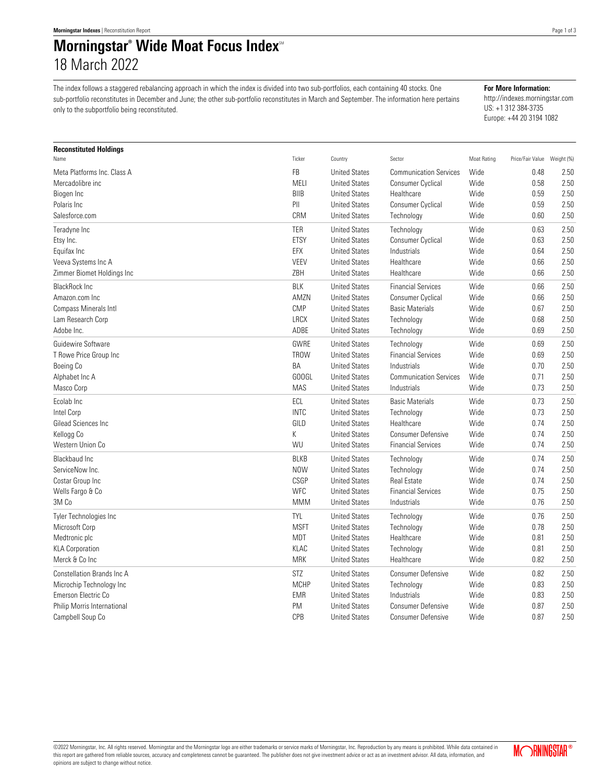## **Morningstar<sup>®</sup> Wide Moat Focus Index**<sup>®</sup> 18 March 2022

The index follows a staggered rebalancing approach in which the index is divided into two sub-portfolios, each containing 40 stocks. One sub-portfolio reconstitutes in December and June; the other sub-portfolio reconstitutes in March and September. The information here pertains only to the subportfolio being reconstituted.

**For More Information:**

http://indexes.morningstar.com US: +1 312 384-3735 Europe: +44 20 3194 1082

| <b>Reconstituted Holdings</b> |             |                      |                               |             |                             |      |
|-------------------------------|-------------|----------------------|-------------------------------|-------------|-----------------------------|------|
| Name                          | Ticker      | Country              | Sector                        | Moat Rating | Price/Fair Value Weight (%) |      |
| Meta Platforms Inc. Class A   | FB          | <b>United States</b> | <b>Communication Services</b> | Wide        | 0.48                        | 2.50 |
| Mercadolibre inc              | MELI        | <b>United States</b> | Consumer Cyclical             | Wide        | 0.58                        | 2.50 |
| Biogen Inc                    | <b>BIIB</b> | <b>United States</b> | Healthcare                    | Wide        | 0.59                        | 2.50 |
| Polaris Inc                   | PII         | <b>United States</b> | Consumer Cyclical             | Wide        | 0.59                        | 2.50 |
| Salesforce.com                | CRM         | <b>United States</b> | Technology                    | Wide        | 0.60                        | 2.50 |
| Teradyne Inc                  | <b>TER</b>  | <b>United States</b> | Technology                    | Wide        | 0.63                        | 2.50 |
| Etsy Inc.                     | ETSY        | <b>United States</b> | <b>Consumer Cyclical</b>      | Wide        | 0.63                        | 2.50 |
| Equifax Inc                   | EFX         | <b>United States</b> | Industrials                   | Wide        | 0.64                        | 2.50 |
| Veeva Systems Inc A           | VEEV        | <b>United States</b> | Healthcare                    | Wide        | 0.66                        | 2.50 |
| Zimmer Biomet Holdings Inc    | ZBH         | <b>United States</b> | Healthcare                    | Wide        | 0.66                        | 2.50 |
| <b>BlackRock Inc</b>          | <b>BLK</b>  | <b>United States</b> | <b>Financial Services</b>     | Wide        | 0.66                        | 2.50 |
| Amazon.com Inc                | AMZN        | <b>United States</b> | Consumer Cyclical             | Wide        | 0.66                        | 2.50 |
| Compass Minerals Intl         | <b>CMP</b>  | <b>United States</b> | <b>Basic Materials</b>        | Wide        | 0.67                        | 2.50 |
| Lam Research Corp             | <b>LRCX</b> | <b>United States</b> | Technology                    | Wide        | 0.68                        | 2.50 |
| Adobe Inc.                    | ADBE        | <b>United States</b> | Technology                    | Wide        | 0.69                        | 2.50 |
| Guidewire Software            | GWRE        | <b>United States</b> | Technology                    | Wide        | 0.69                        | 2.50 |
| T Rowe Price Group Inc        | <b>TROW</b> | <b>United States</b> | <b>Financial Services</b>     | Wide        | 0.69                        | 2.50 |
| Boeing Co                     | BA          | <b>United States</b> | Industrials                   | Wide        | 0.70                        | 2.50 |
| Alphabet Inc A                | GOOGL       | <b>United States</b> | <b>Communication Services</b> | Wide        | 0.71                        | 2.50 |
| Masco Corp                    | <b>MAS</b>  | <b>United States</b> | Industrials                   | Wide        | 0.73                        | 2.50 |
| Ecolab Inc                    | ECL         | <b>United States</b> | <b>Basic Materials</b>        | Wide        | 0.73                        | 2.50 |
| Intel Corp                    | <b>INTC</b> | <b>United States</b> | Technology                    | Wide        | 0.73                        | 2.50 |
| Gilead Sciences Inc           | GILD        | <b>United States</b> | Healthcare                    | Wide        | 0.74                        | 2.50 |
| Kellogg Co                    | К           | <b>United States</b> | <b>Consumer Defensive</b>     | Wide        | 0.74                        | 2.50 |
| Western Union Co              | WU          | <b>United States</b> | <b>Financial Services</b>     | Wide        | 0.74                        | 2.50 |
| Blackbaud Inc                 | <b>BLKB</b> | <b>United States</b> | Technology                    | Wide        | 0.74                        | 2.50 |
| ServiceNow Inc.               | <b>NOW</b>  | <b>United States</b> | Technology                    | Wide        | 0.74                        | 2.50 |
| Costar Group Inc              | CSGP        | <b>United States</b> | <b>Real Estate</b>            | Wide        | 0.74                        | 2.50 |
| Wells Fargo & Co              | <b>WFC</b>  | <b>United States</b> | <b>Financial Services</b>     | Wide        | 0.75                        | 2.50 |
| 3M Co                         | <b>MMM</b>  | <b>United States</b> | Industrials                   | Wide        | 0.76                        | 2.50 |
| <b>Tyler Technologies Inc</b> | <b>TYL</b>  | <b>United States</b> | Technology                    | Wide        | 0.76                        | 2.50 |
| Microsoft Corp                | <b>MSFT</b> | <b>United States</b> | Technology                    | Wide        | 0.78                        | 2.50 |
| Medtronic plc                 | <b>MDT</b>  | <b>United States</b> | Healthcare                    | Wide        | 0.81                        | 2.50 |
| <b>KLA Corporation</b>        | KLAC        | <b>United States</b> | Technology                    | Wide        | 0.81                        | 2.50 |
| Merck & Co Inc                | <b>MRK</b>  | <b>United States</b> | Healthcare                    | Wide        | 0.82                        | 2.50 |
| Constellation Brands Inc A    | <b>STZ</b>  | <b>United States</b> | <b>Consumer Defensive</b>     | Wide        | 0.82                        | 2.50 |
| Microchip Technology Inc      | <b>MCHP</b> | <b>United States</b> | Technology                    | Wide        | 0.83                        | 2.50 |
| Emerson Electric Co           | <b>EMR</b>  | <b>United States</b> | Industrials                   | Wide        | 0.83                        | 2.50 |
| Philip Morris International   | PM          | <b>United States</b> | <b>Consumer Defensive</b>     | Wide        | 0.87                        | 2.50 |
| Campbell Soup Co              | <b>CPB</b>  | <b>United States</b> | <b>Consumer Defensive</b>     | Wide        | 0.87                        | 2.50 |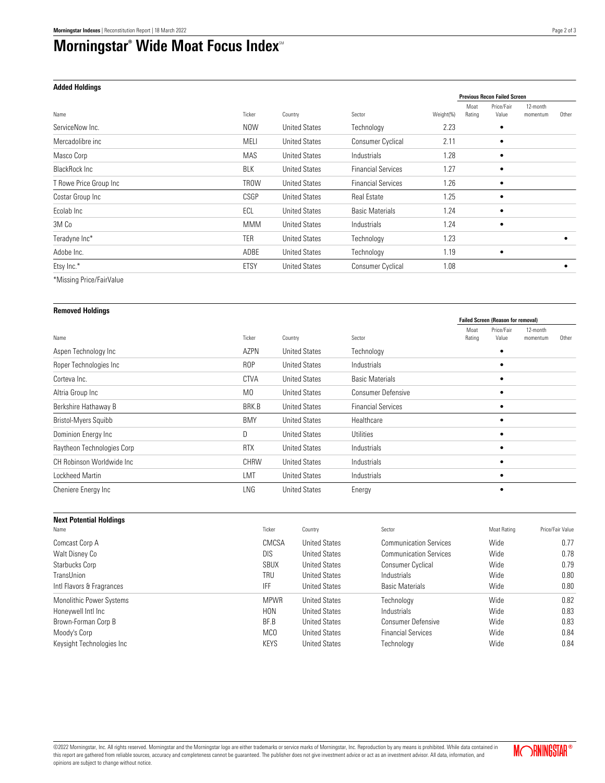## **Morningstar<sup>®</sup> Wide Moat Focus Index**<sup>®</sup>

## **Added Holdings**

|                        |             |                      |                           |           | <b>Previous Recon Failed Screen</b> |                     |                      |       |
|------------------------|-------------|----------------------|---------------------------|-----------|-------------------------------------|---------------------|----------------------|-------|
| Name                   | Ticker      | Country              | Sector                    | Weight(%) | Moat<br>Rating                      | Price/Fair<br>Value | 12-month<br>momentum | Other |
| ServiceNow Inc.        | NOW         | <b>United States</b> | Technology                | 2.23      |                                     | ٠                   |                      |       |
| Mercadolibre inc       | MELI        | <b>United States</b> | <b>Consumer Cyclical</b>  | 2.11      |                                     |                     |                      |       |
| Masco Corp             | MAS         | <b>United States</b> | Industrials               | 1.28      |                                     | ٠                   |                      |       |
| <b>BlackRock Inc.</b>  | <b>BLK</b>  | <b>United States</b> | <b>Financial Services</b> | 1.27      |                                     | ٠                   |                      |       |
| T Rowe Price Group Inc | <b>TROW</b> | <b>United States</b> | <b>Financial Services</b> | 1.26      |                                     |                     |                      |       |
| Costar Group Inc       | CSGP        | <b>United States</b> | <b>Real Estate</b>        | 1.25      |                                     | ٠                   |                      |       |
| Ecolab Inc             | ECL         | <b>United States</b> | <b>Basic Materials</b>    | 1.24      |                                     | ٠                   |                      |       |
| 3M Co                  | <b>MMM</b>  | <b>United States</b> | <b>Industrials</b>        | 1.24      |                                     |                     |                      |       |
| Teradyne Inc*          | <b>TER</b>  | <b>United States</b> | Technology                | 1.23      |                                     |                     |                      | ٠     |
| Adobe Inc.             | ADBE        | <b>United States</b> | Technology                | 1.19      |                                     | ٠                   |                      |       |
| Etsy Inc.*             | <b>ETSY</b> | <b>United States</b> | <b>Consumer Cyclical</b>  | 1.08      |                                     |                     |                      |       |
|                        |             |                      |                           |           |                                     |                     |                      |       |

\*Missing Price/FairValue

| <b>Removed Holdings</b>    |                 |                      |                           |                                           |                     |                      |       |
|----------------------------|-----------------|----------------------|---------------------------|-------------------------------------------|---------------------|----------------------|-------|
|                            |                 |                      |                           | <b>Failed Screen (Reason for removal)</b> |                     |                      |       |
| Name                       | Ticker          | Country              | Sector                    | Moat<br>Rating                            | Price/Fair<br>Value | 12-month<br>momentum | Other |
| Aspen Technology Inc       | AZPN            | <b>United States</b> | Technology                |                                           |                     |                      |       |
| Roper Technologies Inc     | R <sub>OP</sub> | <b>United States</b> | Industrials               |                                           |                     |                      |       |
| Corteva Inc.               | <b>CTVA</b>     | <b>United States</b> | <b>Basic Materials</b>    |                                           |                     |                      |       |
| Altria Group Inc           | M <sub>0</sub>  | <b>United States</b> | <b>Consumer Defensive</b> |                                           |                     |                      |       |
| Berkshire Hathaway B       | BRK.B           | <b>United States</b> | <b>Financial Services</b> |                                           |                     |                      |       |
| Bristol-Myers Squibb       | <b>BMY</b>      | <b>United States</b> | Healthcare                |                                           |                     |                      |       |
| Dominion Energy Inc        | D               | <b>United States</b> | Utilities                 |                                           |                     |                      |       |
| Raytheon Technologies Corp | <b>RTX</b>      | <b>United States</b> | <b>Industrials</b>        |                                           |                     |                      |       |
| CH Robinson Worldwide Inc. | <b>CHRW</b>     | <b>United States</b> | Industrials               |                                           |                     |                      |       |
| Lockheed Martin            | LMT             | <b>United States</b> | Industrials               |                                           | $\bullet$           |                      |       |
| Cheniere Energy Inc        | LNG             | <b>United States</b> | Energy                    |                                           |                     |                      |       |

| <b>Next Potential Holdings</b> |                 |                      |                               |             |                  |
|--------------------------------|-----------------|----------------------|-------------------------------|-------------|------------------|
| Name                           | Ticker          | Country              | Sector                        | Moat Rating | Price/Fair Value |
| Comcast Corp A                 | CMCSA           | <b>United States</b> | <b>Communication Services</b> | Wide        | 0.77             |
| Walt Disney Co                 | <b>DIS</b>      | <b>United States</b> | <b>Communication Services</b> | Wide        | 0.78             |
| Starbucks Corp                 | <b>SBUX</b>     | <b>United States</b> | <b>Consumer Cyclical</b>      | Wide        | 0.79             |
| TransUnion                     | TRU             | <b>United States</b> | Industrials                   | Wide        | 0.80             |
| Intl Flavors & Fragrances      | <b>IFF</b>      | <b>United States</b> | <b>Basic Materials</b>        | Wide        | 0.80             |
| Monolithic Power Systems       | <b>MPWR</b>     | <b>United States</b> | Technology                    | Wide        | 0.82             |
| Honeywell Intl Inc             | <b>HON</b>      | <b>United States</b> | Industrials                   | Wide        | 0.83             |
| Brown-Forman Corp B            | BF.B            | <b>United States</b> | <b>Consumer Defensive</b>     | Wide        | 0.83             |
| Moody's Corp                   | MC <sub>0</sub> | <b>United States</b> | <b>Financial Services</b>     | Wide        | 0.84             |
| Keysight Technologies Inc      | <b>KEYS</b>     | <b>United States</b> | Technology                    | Wide        | 0.84             |